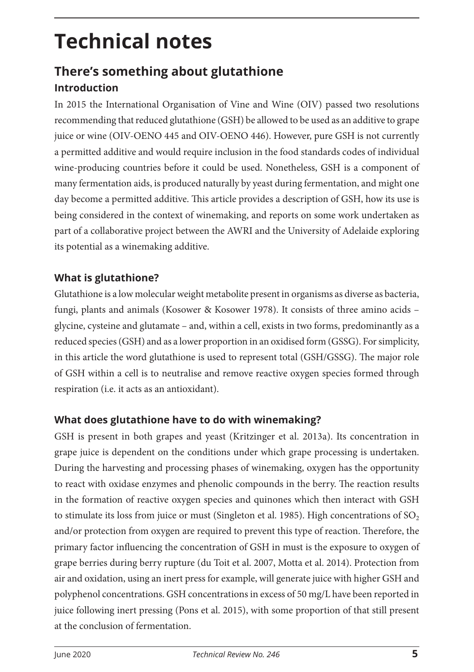# **Technical notes**

## **There's something about glutathione Introduction**

In 2015 the International Organisation of Vine and Wine (OIV) passed two resolutions recommending that reduced glutathione (GSH) be allowed to be used as an additive to grape juice or wine (OIV-OENO 445 and OIV-OENO 446). However, pure GSH is not currently a permitted additive and would require inclusion in the food standards codes of individual wine-producing countries before it could be used. Nonetheless, GSH is a component of many fermentation aids, is produced naturally by yeast during fermentation, and might one day become a permitted additive. This article provides a description of GSH, how its use is being considered in the context of winemaking, and reports on some work undertaken as part of a collaborative project between the AWRI and the University of Adelaide exploring its potential as a winemaking additive.

#### **What is glutathione?**

Glutathione is a low molecular weight metabolite present in organisms as diverse as bacteria, fungi, plants and animals (Kosower & Kosower 1978). It consists of three amino acids – glycine, cysteine and glutamate – and, within a cell, exists in two forms, predominantly as a reduced species (GSH) and as a lower proportion in an oxidised form (GSSG). For simplicity, in this article the word glutathione is used to represent total (GSH/GSSG). The major role of GSH within a cell is to neutralise and remove reactive oxygen species formed through respiration (i.e. it acts as an antioxidant).

#### **What does glutathione have to do with winemaking?**

GSH is present in both grapes and yeast (Kritzinger et al. 2013a). Its concentration in grape juice is dependent on the conditions under which grape processing is undertaken. During the harvesting and processing phases of winemaking, oxygen has the opportunity to react with oxidase enzymes and phenolic compounds in the berry. The reaction results in the formation of reactive oxygen species and quinones which then interact with GSH to stimulate its loss from juice or must (Singleton et al. 1985). High concentrations of  $SO<sub>2</sub>$ and/or protection from oxygen are required to prevent this type of reaction. Therefore, the primary factor influencing the concentration of GSH in must is the exposure to oxygen of grape berries during berry rupture (du Toit et al. 2007, Motta et al. 2014). Protection from air and oxidation, using an inert press for example, will generate juice with higher GSH and polyphenol concentrations. GSH concentrations in excess of 50 mg/L have been reported in juice following inert pressing (Pons et al. 2015), with some proportion of that still present at the conclusion of fermentation.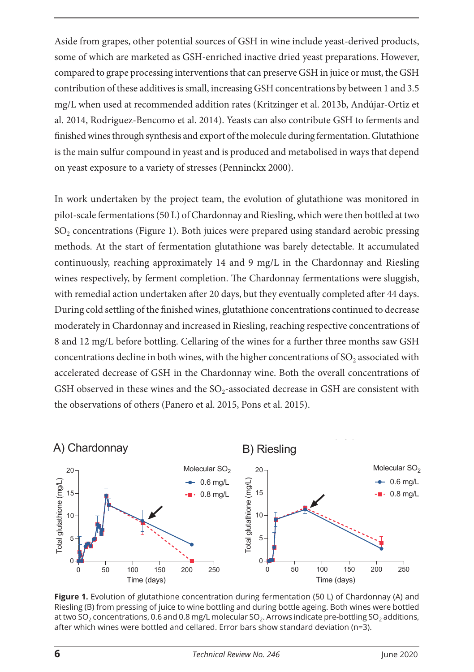Aside from grapes, other potential sources of GSH in wine include yeast-derived products, some of which are marketed as GSH-enriched inactive dried yeast preparations. However, compared to grape processing interventions that can preserve GSH in juice or must, the GSH contribution of these additives is small, increasing GSH concentrations by between 1 and 3.5 mg/L when used at recommended addition rates (Kritzinger et al. 2013b, Andújar-Ortiz et al. 2014, Rodriguez-Bencomo et al. 2014). Yeasts can also contribute GSH to ferments and finished wines through synthesis and export of the molecule during fermentation. Glutathione is the main sulfur compound in yeast and is produced and metabolised in ways that depend on yeast exposure to a variety of stresses (Penninckx 2000).

In work undertaken by the project team, the evolution of glutathione was monitored in pilot-scale fermentations (50 L) of Chardonnay and Riesling, which were then bottled at two SO<sub>2</sub> concentrations (Figure 1). Both juices were prepared using standard aerobic pressing methods. At the start of fermentation glutathione was barely detectable. It accumulated continuously, reaching approximately 14 and 9 mg/L in the Chardonnay and Riesling wines respectively, by ferment completion. The Chardonnay fermentations were sluggish, with remedial action undertaken after 20 days, but they eventually completed after 44 days. During cold settling of the finished wines, glutathione concentrations continued to decrease moderately in Chardonnay and increased in Riesling, reaching respective concentrations of 8 and 12 mg/L before bottling. Cellaring of the wines for a further three months saw GSH concentrations decline in both wines, with the higher concentrations of SO<sub>2</sub> associated with accelerated decrease of GSH in the Chardonnay wine. Both the overall concentrations of GSH observed in these wines and the  $SO_2$ -associated decrease in GSH are consistent with the observations of others (Panero et al. 2015, Pons et al. 2015). N<br>ig<br>Po



Figure 1. Evolution of glutathione concentration during fermentation (50 L) of Chardonnay (A) and Riesling (B) from pressing of juice to wine bottling and during bottle ageing. Both wines were bottled at two SO<sub>2</sub> concentrations, 0.6 and 0.8 mg/L molecular SO<sub>2</sub>. Arrows indicate pre-bottling SO<sub>2</sub> additions, after which wines were bottled and cellared. Error bars show standard deviation (n=3). aft<br>**6**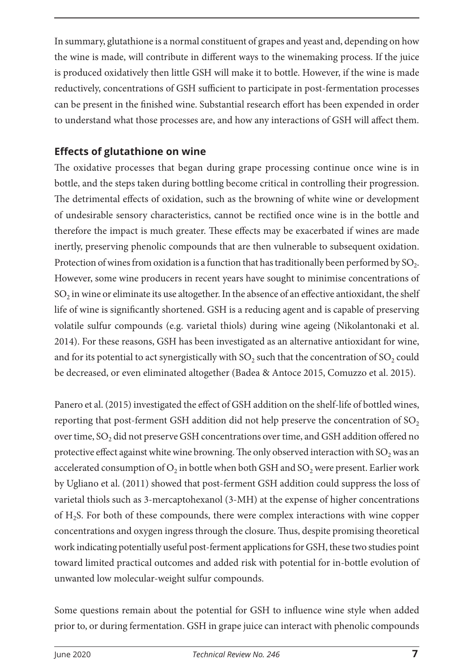In summary, glutathione is a normal constituent of grapes and yeast and, depending on how the wine is made, will contribute in different ways to the winemaking process. If the juice is produced oxidatively then little GSH will make it to bottle. However, if the wine is made reductively, concentrations of GSH sufficient to participate in post-fermentation processes can be present in the finished wine. Substantial research effort has been expended in order to understand what those processes are, and how any interactions of GSH will affect them.

#### **Effects of glutathione on wine**

The oxidative processes that began during grape processing continue once wine is in bottle, and the steps taken during bottling become critical in controlling their progression. The detrimental effects of oxidation, such as the browning of white wine or development of undesirable sensory characteristics, cannot be rectified once wine is in the bottle and therefore the impact is much greater. These effects may be exacerbated if wines are made inertly, preserving phenolic compounds that are then vulnerable to subsequent oxidation. Protection of wines from oxidation is a function that has traditionally been performed by  $SO<sub>2</sub>$ . However, some wine producers in recent years have sought to minimise concentrations of  $SO<sub>2</sub>$  in wine or eliminate its use altogether. In the absence of an effective antioxidant, the shelf life of wine is significantly shortened. GSH is a reducing agent and is capable of preserving volatile sulfur compounds (e.g. varietal thiols) during wine ageing (Nikolantonaki et al. 2014). For these reasons, GSH has been investigated as an alternative antioxidant for wine, and for its potential to act synergistically with  $SO<sub>2</sub>$  such that the concentration of  $SO<sub>2</sub>$  could be decreased, or even eliminated altogether (Badea & Antoce 2015, Comuzzo et al. 2015).

Panero et al. (2015) investigated the effect of GSH addition on the shelf-life of bottled wines, reporting that post-ferment GSH addition did not help preserve the concentration of  $SO<sub>2</sub>$ over time, SO<sub>2</sub> did not preserve GSH concentrations over time, and GSH addition offered no protective effect against white wine browning. The only observed interaction with  $SO_2$  was an accelerated consumption of  $O_2$  in bottle when both GSH and  $SO_2$  were present. Earlier work by Ugliano et al. (2011) showed that post-ferment GSH addition could suppress the loss of varietal thiols such as 3-mercaptohexanol (3-MH) at the expense of higher concentrations of H2S. For both of these compounds, there were complex interactions with wine copper concentrations and oxygen ingress through the closure. Thus, despite promising theoretical work indicating potentially useful post-ferment applications for GSH, these two studies point toward limited practical outcomes and added risk with potential for in-bottle evolution of unwanted low molecular-weight sulfur compounds.

Some questions remain about the potential for GSH to influence wine style when added prior to, or during fermentation. GSH in grape juice can interact with phenolic compounds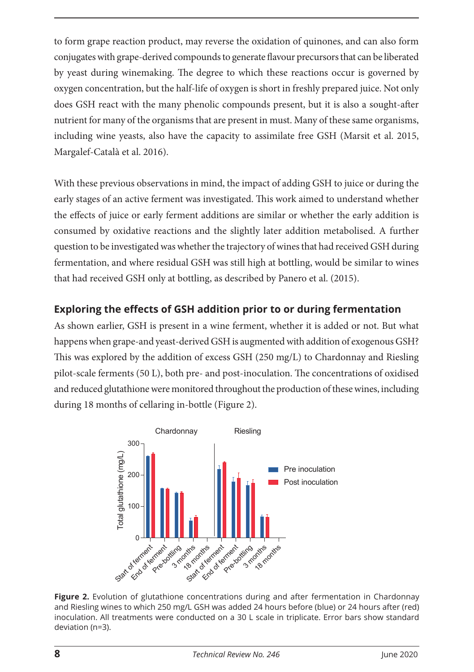to form grape reaction product, may reverse the oxidation of quinones, and can also form conjugates with grape-derived compounds to generate flavour precursors that can be liberated by yeast during winemaking. The degree to which these reactions occur is governed by oxygen concentration, but the half-life of oxygen is short in freshly prepared juice. Not only does GSH react with the many phenolic compounds present, but it is also a sought-after nutrient for many of the organisms that are present in must. Many of these same organisms, including wine yeasts, also have the capacity to assimilate free GSH (Marsit et al. 2015, Margalef-Català et al. 2016).

With these previous observations in mind, the impact of adding GSH to juice or during the early stages of an active ferment was investigated. This work aimed to understand whether the effects of juice or early ferment additions are similar or whether the early addition is consumed by oxidative reactions and the slightly later addition metabolised. A further question to be investigated was whether the trajectory of wines that had received GSH during fermentation, and where residual GSH was still high at bottling, would be similar to wines that had received GSH only at bottling, as described by Panero et al. (2015).

#### **Exploring the effects of GSH addition prior to or during fermentation**

As shown earlier, GSH is present in a wine ferment, whether it is added or not. But what happens when grape-and yeast-derived GSH is augmented with addition of exogenous GSH? This was explored by the addition of excess GSH (250 mg/L) to Chardonnay and Riesling pilot-scale ferments (50 L), both pre- and post-inoculation. The concentrations of oxidised and reduced glutathione were monitored throughout the production of these wines, including during 18 months of cellaring in-bottle (Figure 2).



Figure 2. Evolution of glutathione concentrations during and after fermentation in Chardonnay and Riesling wines to which 250 mg/L GSH was added 24 hours before (blue) or 24 hours after (red) inoculation. All treatments were conducted on a 30 L scale in triplicate. Error bars show standard deviation (n=3).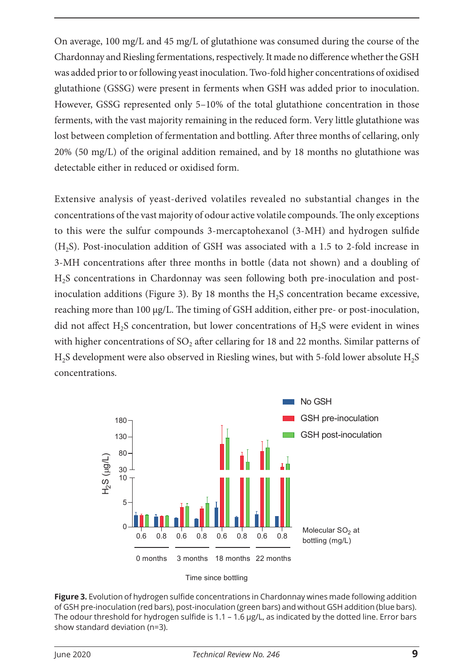On average, 100 mg/L and 45 mg/L of glutathione was consumed during the course of the Chardonnay and Riesling fermentations, respectively. It made no difference whether the GSH was added prior to or following yeast inoculation. Two-fold higher concentrations of oxidised glutathione (GSSG) were present in ferments when GSH was added prior to inoculation. However, GSSG represented only 5–10% of the total glutathione concentration in those ferments, with the vast majority remaining in the reduced form. Very little glutathione was lost between completion of fermentation and bottling. After three months of cellaring, only 20% (50 mg/L) of the original addition remained, and by 18 months no glutathione was detectable either in reduced or oxidised form.

Extensive analysis of yeast-derived volatiles revealed no substantial changes in the concentrations of the vast majority of odour active volatile compounds. The only exceptions to this were the sulfur compounds 3-mercaptohexanol (3-MH) and hydrogen sulfide (H2S). Post-inoculation addition of GSH was associated with a 1.5 to 2-fold increase in 3-MH concentrations after three months in bottle (data not shown) and a doubling of H2S concentrations in Chardonnay was seen following both pre-inoculation and postinoculation additions (Figure 3). By 18 months the  $H_2S$  concentration became excessive, reaching more than 100 μg/L. The timing of GSH addition, either pre- or post-inoculation, did not affect  $H_2S$  concentration, but lower concentrations of  $H_2S$  were evident in wines with higher concentrations of  $SO<sub>2</sub>$  after cellaring for 18 and 22 months. Similar patterns of H<sub>2</sub>S development were also observed in Riesling wines, but with 5-fold lower absolute H<sub>2</sub>S concentrations.



Time since bottling

**Figure 3.** Evolution of hydrogen sulfide concentrations in Chardonnay wines made following addition of GSH pre-inoculation (red bars), post-inoculation (green bars) and without GSH addition (blue bars). The odour threshold for hydrogen sulfide is 1.1 – 1.6 μg/L, as indicated by the dotted line. Error bars show standard deviation (n=3).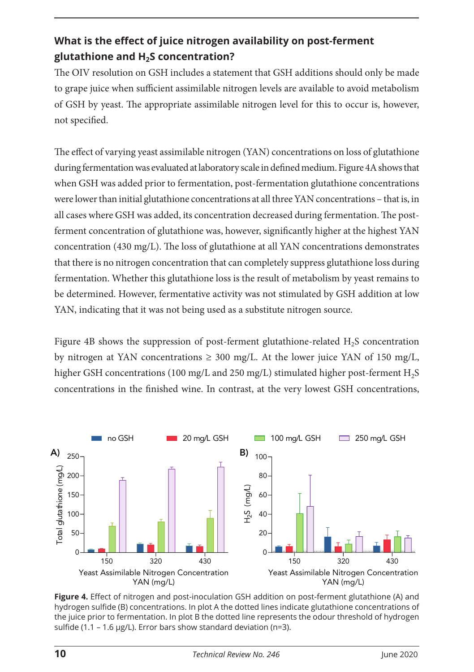### **What is the effect of juice nitrogen availability on post-ferment glutathione and H2S concentration?**

The OIV resolution on GSH includes a statement that GSH additions should only be made to grape juice when sufficient assimilable nitrogen levels are available to avoid metabolism of GSH by yeast. The appropriate assimilable nitrogen level for this to occur is, however, not specified.

The effect of varying yeast assimilable nitrogen (YAN) concentrations on loss of glutathione during fermentation was evaluated at laboratory scale in defined medium. Figure 4A shows that when GSH was added prior to fermentation, post-fermentation glutathione concentrations were lower than initial glutathione concentrations at all three YAN concentrations – that is, in all cases where GSH was added, its concentration decreased during fermentation. The postferment concentration of glutathione was, however, significantly higher at the highest YAN concentration (430 mg/L). The loss of glutathione at all YAN concentrations demonstrates that there is no nitrogen concentration that can completely suppress glutathione loss during fermentation. Whether this glutathione loss is the result of metabolism by yeast remains to be determined. However, fermentative activity was not stimulated by GSH addition at low YAN, indicating that it was not being used as a substitute nitrogen source.

Figure 4B shows the suppression of post-ferment glutathione-related H2S concentration by nitrogen at YAN concentrations  $\geq$  300 mg/L. At the lower juice YAN of 150 mg/L, higher GSH concentrations (100 mg/L and 250 mg/L) stimulated higher post-ferment H<sub>2</sub>S concentrations in the finished wine. In contrast, at the very lowest GSH concentrations,



**Figure 4.** Effect of nitrogen and post-inoculation GSH addition on post-ferment glutathione (A) and hydrogen sulfide (B) concentrations. In plot A the dotted lines indicate glutathione concentrations of the juice prior to fermentation. In plot B the dotted line represents the odour threshold of hydrogen sulfide (1.1 – 1.6 μg/L). Error bars show standard deviation (n=3).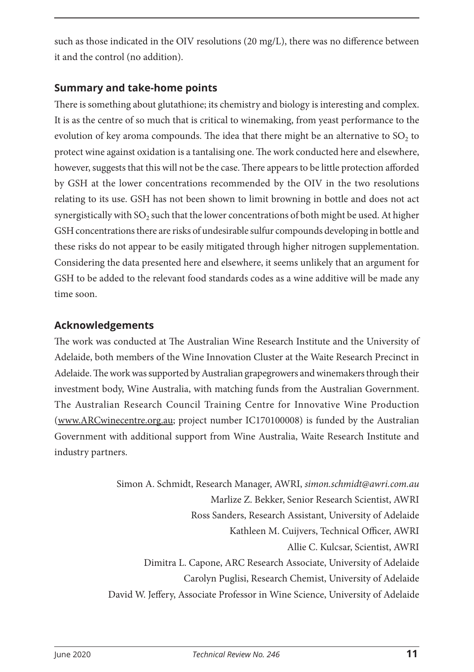such as those indicated in the OIV resolutions (20 mg/L), there was no difference between it and the control (no addition).

#### **Summary and take-home points**

There is something about glutathione; its chemistry and biology is interesting and complex. It is as the centre of so much that is critical to winemaking, from yeast performance to the evolution of key aroma compounds. The idea that there might be an alternative to  $SO<sub>2</sub>$  to protect wine against oxidation is a tantalising one. The work conducted here and elsewhere, however, suggests that this will not be the case. There appears to be little protection afforded by GSH at the lower concentrations recommended by the OIV in the two resolutions relating to its use. GSH has not been shown to limit browning in bottle and does not act synergistically with SO<sub>2</sub> such that the lower concentrations of both might be used. At higher GSH concentrations there are risks of undesirable sulfur compounds developing in bottle and these risks do not appear to be easily mitigated through higher nitrogen supplementation. Considering the data presented here and elsewhere, it seems unlikely that an argument for GSH to be added to the relevant food standards codes as a wine additive will be made any time soon.

#### **Acknowledgements**

The work was conducted at The Australian Wine Research Institute and the University of Adelaide, both members of the Wine Innovation Cluster at the Waite Research Precinct in Adelaide. The work was supported by Australian grapegrowers and winemakers through their investment body, Wine Australia, with matching funds from the Australian Government. The Australian Research Council Training Centre for Innovative Wine Production [\(www.ARCwinecentre.org.au](http://www.ARCwinecentre.org.au); project number IC170100008) is funded by the Australian Government with additional support from Wine Australia, Waite Research Institute and industry partners.

> Simon A. Schmidt, Research Manager, AWRI, *simon.schmidt@awri.com.au* Marlize Z. Bekker, Senior Research Scientist, AWRI Ross Sanders, Research Assistant, University of Adelaide Kathleen M. Cuijvers, Technical Officer, AWRI Allie C. Kulcsar, Scientist, AWRI Dimitra L. Capone, ARC Research Associate, University of Adelaide Carolyn Puglisi, Research Chemist, University of Adelaide David W. Jeffery, Associate Professor in Wine Science, University of Adelaide